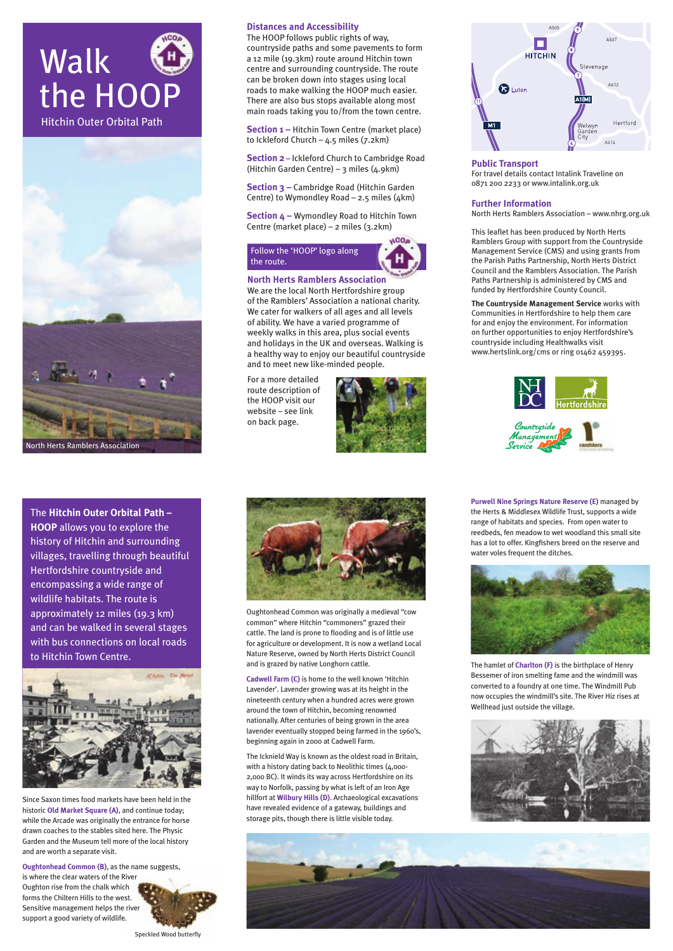**Public Transport** For travel details contact Intalink Traveline on 0871 200 2233 or www.intalink.org.uk

#### **Further Information**

North Herts Ramblers Association – www.nhrg.org.uk

This leaflet has been produced by North Herts Ramblers Group with support from the Countryside Management Service (CMS) and using grants from the Parish Paths Partnership, North Herts District Council and the Ramblers Association. The Parish Paths Partnership is administered by CMS and funded by Hertfordshire County Council.

**The Countryside Management Service** works with Communities in Hertfordshire to help them care for and enjoy the environment. For information on further opportunities to enjoy Hertfordshire's countryside including Healthwalks visit www.hertslink.org/cms or ring 01462 459395.



**Section 3 –** Cambridge Road (Hitchin Garden Centre) to Wymondley Road  $-$  2.5 miles (4km)

### **Distances and Accessibility**

The HOOP follows public rights of way, countryside paths and some pavements to form a 12 mile (19.3km) route around Hitchin town centre and surrounding countryside. The route can be broken down into stages using local roads to make walking the HOOP much easier. There are also bus stops available along most main roads taking you to/from the town centre.

**Section 1 –** Hitchin Town Centre (market place) to Ickleford Church – 4.5 miles (7.2km)

**Section 2 –** Ickleford Church to Cambridge Road (Hitchin Garden Centre) – 3 miles (4.9km)

**Section 4 –** Wymondley Road to Hitchin Town Centre (market place) – 2 miles (3.2km)

## Follow the 'HOOP' logo along the route.

#### **North Herts Ramblers Association**

We are the local North Hertfordshire group of the Ramblers' Association a national charity. We cater for walkers of all ages and all levels of ability. We have a varied programme of weekly walks in this area, plus social events and holidays in the UK and overseas. Walking is a healthy way to enjoy our beautiful countryside and to meet new like-minded people.

For a more detailed route description of the HOOP visit our website – see link on back page.









The **Hitchin Outer Orbital Path – HOOP** allows you to explore the history of Hitchin and surrounding villages, travelling through beautiful Hertfordshire countryside and encompassing a wide range of wildlife habitats. The route is approximately 12 miles (19.3 km) and can be walked in several stages with bus connections on local roads to Hitchin Town Centre.





Since Saxon times food markets have been held in the historic **Old Market Square (A)**, and continue today; while the Arcade was originally the entrance for horse drawn coaches to the stables sited here. The Physic Garden and the Museum tell more of the local history and are worth a separate visit.

**Oughtonhead Common (B)**, as the name suggests, is where the clear waters of the River Oughton rise from the chalk which forms the Chiltern Hills to the west. Sensitive management helps the river support a good variety of wildlife.



Speckled Wood butterfly

Oughtonhead Common was originally a medieval "cow common" where Hitchin "commoners" grazed their cattle. The land is prone to flooding and is of little use for agriculture or development. It is now a wetland Local Nature Reserve, owned by North Herts District Council and is grazed by native Longhorn cattle.

**Cadwell Farm (C)** is home to the well known 'Hitchin Lavender'. Lavender growing was at its height in the nineteenth century when a hundred acres were grown around the town of Hitchin, becoming renowned nationally. After centuries of being grown in the area lavender eventually stopped being farmed in the 1960's, beginning again in 2000 at Cadwell Farm.

The Icknield Way is known as the oldest road in Britain, with a history dating back to Neolithic times (4,000-2,000 BC). It winds its way across Hertfordshire on its way to Norfolk, passing by what is left of an Iron Age hillfort at **Wilbury Hills (D)**. Archaeological excavations have revealed evidence of a gateway, buildings and storage pits, though there is little visible today.





**Purwell Nine Springs Nature Reserve (E)** managed by the Herts & Middlesex Wildlife Trust, supports a wide range of habitats and species. From open water to reedbeds, fen meadow to wet woodland this small site has a lot to offer. Kingfishers breed on the reserve and water voles frequent the ditches.



The hamlet of **Charlton (F)** is the birthplace of Henry Bessemer of iron smelting fame and the windmill was converted to a foundry at one time. The Windmill Pub now occupies the windmill's site. The River Hiz rises at Wellhead just outside the village.